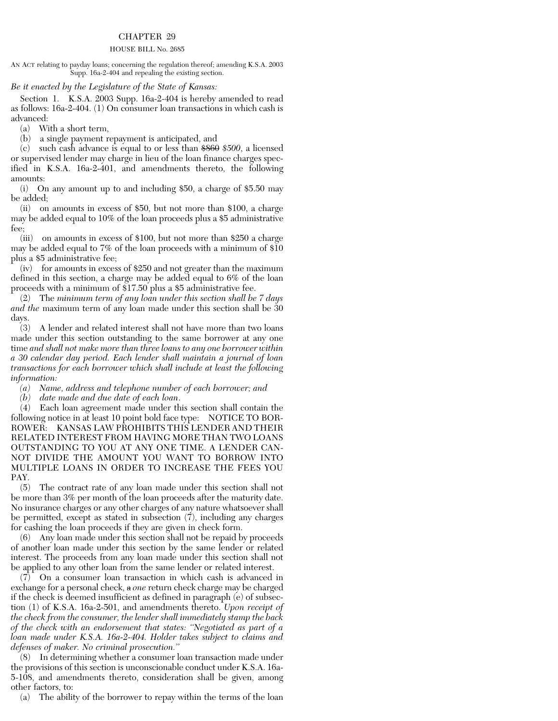## CHAPTER 29

## HOUSE BILL No. 2685

AN ACT relating to payday loans; concerning the regulation thereof; amending K.S.A. 2003 Supp. 16a-2-404 and repealing the existing section.

## *Be it enacted by the Legislature of the State of Kansas:*

Section 1. K.S.A. 2003 Supp. 16a-2-404 is hereby amended to read as follows: 16a-2-404. (1) On consumer loan transactions in which cash is advanced:

(a) With a short term,

(b) a single payment repayment is anticipated, and

(c) such cash advance is equal to or less than \$860 *\$500*, a licensed or supervised lender may charge in lieu of the loan finance charges specified in K.S.A. 16a-2-401, and amendments thereto, the following amounts:

(i) On any amount up to and including \$50, a charge of \$5.50 may be added;

(ii) on amounts in excess of \$50, but not more than \$100, a charge may be added equal to 10% of the loan proceeds plus a \$5 administrative fee;

(iii) on amounts in excess of \$100, but not more than \$250 a charge may be added equal to 7% of the loan proceeds with a minimum of \$10 plus a \$5 administrative fee;

(iv) for amounts in excess of \$250 and not greater than the maximum defined in this section, a charge may be added equal to 6% of the loan proceeds with a minimum of \$17.50 plus a \$5 administrative fee.

(2) The *minimum term of any loan under this section shall be 7 days and the* maximum term of any loan made under this section shall be 30 days.

(3) A lender and related interest shall not have more than two loans made under this section outstanding to the same borrower at any one time *and shall not make more than three loans to any one borrower within a 30 calendar day period. Each lender shall maintain a journal of loan transactions for each borrower which shall include at least the following information:*

*(a) Name, address and telephone number of each borrower; and*

*(b) date made and due date of each loan*.

(4) Each loan agreement made under this section shall contain the following notice in at least 10 point bold face type: NOTICE TO BOR-ROWER: KANSAS LAW PROHIBITS THIS LENDER AND THEIR RELATED INTEREST FROM HAVING MORE THAN TWO LOANS OUTSTANDING TO YOU AT ANY ONE TIME. A LENDER CAN-NOT DIVIDE THE AMOUNT YOU WANT TO BORROW INTO MULTIPLE LOANS IN ORDER TO INCREASE THE FEES YOU PAY.

(5) The contract rate of any loan made under this section shall not be more than 3% per month of the loan proceeds after the maturity date. No insurance charges or any other charges of any nature whatsoever shall be permitted, except as stated in subsection  $(7)$ , including any charges for cashing the loan proceeds if they are given in check form.

(6) Any loan made under this section shall not be repaid by proceeds of another loan made under this section by the same lender or related interest. The proceeds from any loan made under this section shall not be applied to any other loan from the same lender or related interest.

(7) On a consumer loan transaction in which cash is advanced in exchange for a personal check, a *one* return check charge may be charged if the check is deemed insufficient as defined in paragraph (e) of subsection (1) of K.S.A. 16a-2-501, and amendments thereto. *Upon receipt of the check from the consumer, the lender shall immediately stamp the back of the check with an endorsement that states: ''Negotiated as part of a loan made under K.S.A. 16a-2-404. Holder takes subject to claims and defenses of maker. No criminal prosecution.''*

(8) In determining whether a consumer loan transaction made under the provisions of this section is unconscionable conduct under K.S.A. 16a-5-108, and amendments thereto, consideration shall be given, among other factors, to:

(a) The ability of the borrower to repay within the terms of the loan